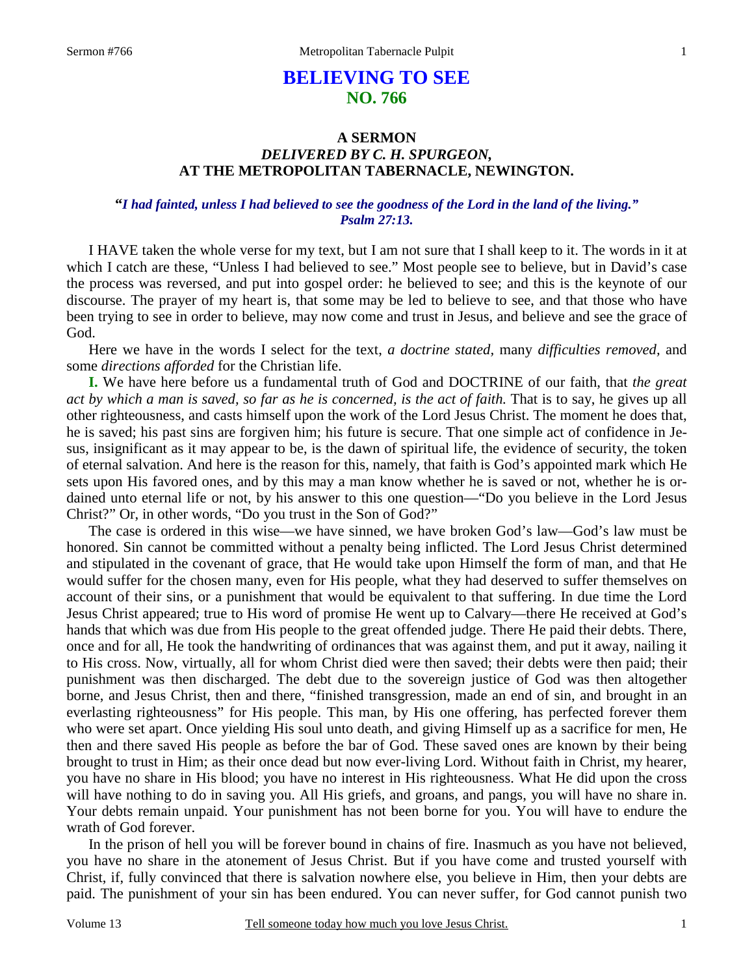# **BELIEVING TO SEE NO. 766**

### **A SERMON**  *DELIVERED BY C. H. SPURGEON,*  **AT THE METROPOLITAN TABERNACLE, NEWINGTON.**

### **"***I had fainted, unless I had believed to see the goodness of the Lord in the land of the living." Psalm 27:13.*

 I HAVE taken the whole verse for my text, but I am not sure that I shall keep to it. The words in it at which I catch are these, "Unless I had believed to see." Most people see to believe, but in David's case the process was reversed, and put into gospel order: he believed to see; and this is the keynote of our discourse. The prayer of my heart is, that some may be led to believe to see, and that those who have been trying to see in order to believe, may now come and trust in Jesus, and believe and see the grace of God.

 Here we have in the words I select for the text, *a doctrine stated,* many *difficulties removed,* and some *directions afforded* for the Christian life.

**I.** We have here before us a fundamental truth of God and DOCTRINE of our faith, that *the great act by which a man is saved, so far as he is concerned, is the act of faith.* That is to say, he gives up all other righteousness, and casts himself upon the work of the Lord Jesus Christ. The moment he does that, he is saved; his past sins are forgiven him; his future is secure. That one simple act of confidence in Jesus, insignificant as it may appear to be, is the dawn of spiritual life, the evidence of security, the token of eternal salvation. And here is the reason for this, namely, that faith is God's appointed mark which He sets upon His favored ones, and by this may a man know whether he is saved or not, whether he is ordained unto eternal life or not, by his answer to this one question—"Do you believe in the Lord Jesus Christ?" Or, in other words, "Do you trust in the Son of God?"

 The case is ordered in this wise—we have sinned, we have broken God's law—God's law must be honored. Sin cannot be committed without a penalty being inflicted. The Lord Jesus Christ determined and stipulated in the covenant of grace, that He would take upon Himself the form of man, and that He would suffer for the chosen many, even for His people, what they had deserved to suffer themselves on account of their sins, or a punishment that would be equivalent to that suffering. In due time the Lord Jesus Christ appeared; true to His word of promise He went up to Calvary—there He received at God's hands that which was due from His people to the great offended judge. There He paid their debts. There, once and for all, He took the handwriting of ordinances that was against them, and put it away, nailing it to His cross. Now, virtually, all for whom Christ died were then saved; their debts were then paid; their punishment was then discharged. The debt due to the sovereign justice of God was then altogether borne, and Jesus Christ, then and there, "finished transgression, made an end of sin, and brought in an everlasting righteousness" for His people. This man, by His one offering, has perfected forever them who were set apart. Once yielding His soul unto death, and giving Himself up as a sacrifice for men, He then and there saved His people as before the bar of God. These saved ones are known by their being brought to trust in Him; as their once dead but now ever-living Lord. Without faith in Christ, my hearer, you have no share in His blood; you have no interest in His righteousness. What He did upon the cross will have nothing to do in saving you. All His griefs, and groans, and pangs, you will have no share in. Your debts remain unpaid. Your punishment has not been borne for you. You will have to endure the wrath of God forever.

 In the prison of hell you will be forever bound in chains of fire. Inasmuch as you have not believed, you have no share in the atonement of Jesus Christ. But if you have come and trusted yourself with Christ, if, fully convinced that there is salvation nowhere else, you believe in Him, then your debts are paid. The punishment of your sin has been endured. You can never suffer, for God cannot punish two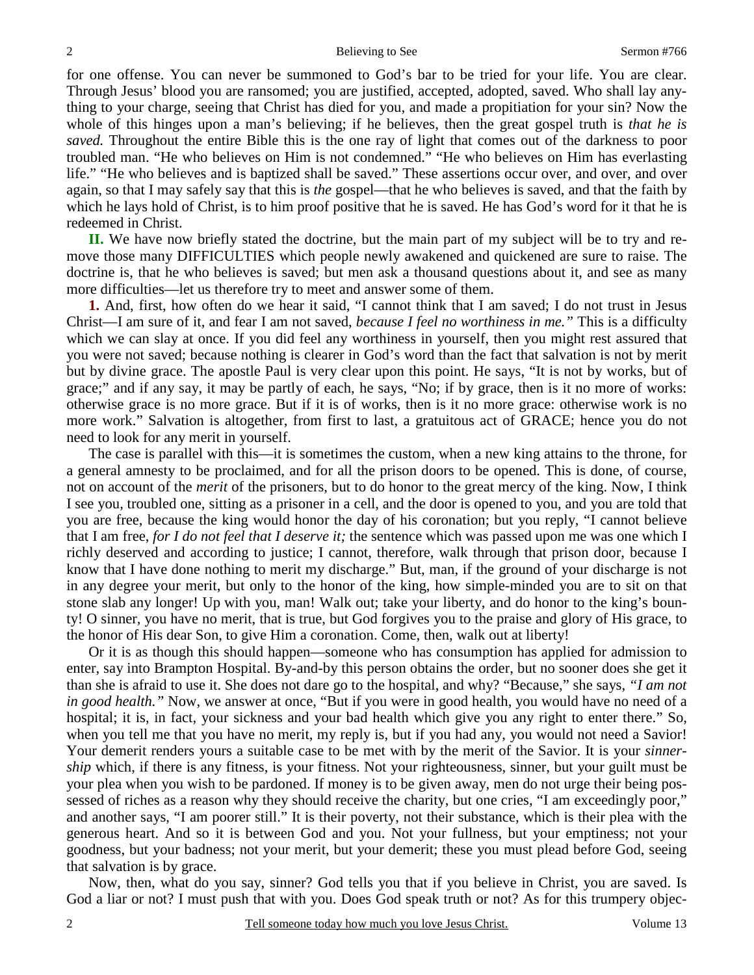for one offense. You can never be summoned to God's bar to be tried for your life. You are clear. Through Jesus' blood you are ransomed; you are justified, accepted, adopted, saved. Who shall lay anything to your charge, seeing that Christ has died for you, and made a propitiation for your sin? Now the whole of this hinges upon a man's believing; if he believes, then the great gospel truth is *that he is saved.* Throughout the entire Bible this is the one ray of light that comes out of the darkness to poor troubled man. "He who believes on Him is not condemned." "He who believes on Him has everlasting life." "He who believes and is baptized shall be saved." These assertions occur over, and over, and over again, so that I may safely say that this is *the* gospel—that he who believes is saved, and that the faith by which he lays hold of Christ, is to him proof positive that he is saved. He has God's word for it that he is redeemed in Christ.

**II.** We have now briefly stated the doctrine, but the main part of my subject will be to try and remove those many DIFFICULTIES which people newly awakened and quickened are sure to raise. The doctrine is, that he who believes is saved; but men ask a thousand questions about it, and see as many more difficulties—let us therefore try to meet and answer some of them.

**1.** And, first, how often do we hear it said, "I cannot think that I am saved; I do not trust in Jesus Christ—I am sure of it, and fear I am not saved, *because I feel no worthiness in me."* This is a difficulty which we can slay at once. If you did feel any worthiness in yourself, then you might rest assured that you were not saved; because nothing is clearer in God's word than the fact that salvation is not by merit but by divine grace. The apostle Paul is very clear upon this point. He says, "It is not by works, but of grace;" and if any say, it may be partly of each, he says, "No; if by grace, then is it no more of works: otherwise grace is no more grace. But if it is of works, then is it no more grace: otherwise work is no more work." Salvation is altogether, from first to last, a gratuitous act of GRACE; hence you do not need to look for any merit in yourself.

 The case is parallel with this—it is sometimes the custom, when a new king attains to the throne, for a general amnesty to be proclaimed, and for all the prison doors to be opened. This is done, of course, not on account of the *merit* of the prisoners, but to do honor to the great mercy of the king. Now, I think I see you, troubled one, sitting as a prisoner in a cell, and the door is opened to you, and you are told that you are free, because the king would honor the day of his coronation; but you reply, "I cannot believe that I am free, *for I do not feel that I deserve it;* the sentence which was passed upon me was one which I richly deserved and according to justice; I cannot, therefore, walk through that prison door, because I know that I have done nothing to merit my discharge." But, man, if the ground of your discharge is not in any degree your merit, but only to the honor of the king, how simple-minded you are to sit on that stone slab any longer! Up with you, man! Walk out; take your liberty, and do honor to the king's bounty! O sinner, you have no merit, that is true, but God forgives you to the praise and glory of His grace, to the honor of His dear Son, to give Him a coronation. Come, then, walk out at liberty!

 Or it is as though this should happen—someone who has consumption has applied for admission to enter, say into Brampton Hospital. By-and-by this person obtains the order, but no sooner does she get it than she is afraid to use it. She does not dare go to the hospital, and why? "Because," she says, *"I am not in good health."* Now, we answer at once, "But if you were in good health, you would have no need of a hospital; it is, in fact, your sickness and your bad health which give you any right to enter there." So, when you tell me that you have no merit, my reply is, but if you had any, you would not need a Savior! Your demerit renders yours a suitable case to be met with by the merit of the Savior. It is your *sinnership* which, if there is any fitness, is your fitness. Not your righteousness, sinner, but your guilt must be your plea when you wish to be pardoned. If money is to be given away, men do not urge their being possessed of riches as a reason why they should receive the charity, but one cries, "I am exceedingly poor," and another says, "I am poorer still." It is their poverty, not their substance, which is their plea with the generous heart. And so it is between God and you. Not your fullness, but your emptiness; not your goodness, but your badness; not your merit, but your demerit; these you must plead before God, seeing that salvation is by grace.

 Now, then, what do you say, sinner? God tells you that if you believe in Christ, you are saved. Is God a liar or not? I must push that with you. Does God speak truth or not? As for this trumpery objec-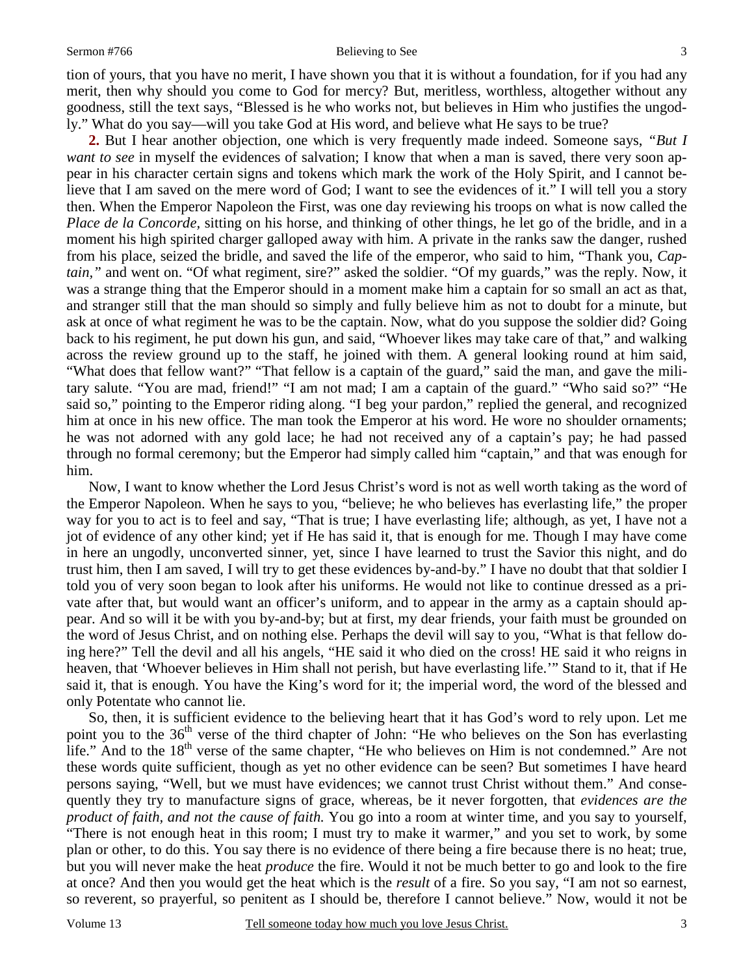#### Sermon #766 Believing to See

3

tion of yours, that you have no merit, I have shown you that it is without a foundation, for if you had any merit, then why should you come to God for mercy? But, meritless, worthless, altogether without any goodness, still the text says, "Blessed is he who works not, but believes in Him who justifies the ungodly." What do you say—will you take God at His word, and believe what He says to be true?

**2.** But I hear another objection, one which is very frequently made indeed. Someone says, *"But I want to see* in myself the evidences of salvation; I know that when a man is saved, there very soon appear in his character certain signs and tokens which mark the work of the Holy Spirit, and I cannot believe that I am saved on the mere word of God; I want to see the evidences of it." I will tell you a story then. When the Emperor Napoleon the First, was one day reviewing his troops on what is now called the *Place de la Concorde,* sitting on his horse, and thinking of other things, he let go of the bridle, and in a moment his high spirited charger galloped away with him. A private in the ranks saw the danger, rushed from his place, seized the bridle, and saved the life of the emperor, who said to him, "Thank you, *Captain,"* and went on. "Of what regiment, sire?" asked the soldier. "Of my guards," was the reply. Now, it was a strange thing that the Emperor should in a moment make him a captain for so small an act as that, and stranger still that the man should so simply and fully believe him as not to doubt for a minute, but ask at once of what regiment he was to be the captain. Now, what do you suppose the soldier did? Going back to his regiment, he put down his gun, and said, "Whoever likes may take care of that," and walking across the review ground up to the staff, he joined with them. A general looking round at him said, "What does that fellow want?" "That fellow is a captain of the guard," said the man, and gave the military salute. "You are mad, friend!" "I am not mad; I am a captain of the guard." "Who said so?" "He said so," pointing to the Emperor riding along. "I beg your pardon," replied the general, and recognized him at once in his new office. The man took the Emperor at his word. He wore no shoulder ornaments; he was not adorned with any gold lace; he had not received any of a captain's pay; he had passed through no formal ceremony; but the Emperor had simply called him "captain," and that was enough for him.

 Now, I want to know whether the Lord Jesus Christ's word is not as well worth taking as the word of the Emperor Napoleon. When he says to you, "believe; he who believes has everlasting life," the proper way for you to act is to feel and say, "That is true; I have everlasting life; although, as yet, I have not a jot of evidence of any other kind; yet if He has said it, that is enough for me. Though I may have come in here an ungodly, unconverted sinner, yet, since I have learned to trust the Savior this night, and do trust him, then I am saved, I will try to get these evidences by-and-by." I have no doubt that that soldier I told you of very soon began to look after his uniforms. He would not like to continue dressed as a private after that, but would want an officer's uniform, and to appear in the army as a captain should appear. And so will it be with you by-and-by; but at first, my dear friends, your faith must be grounded on the word of Jesus Christ, and on nothing else. Perhaps the devil will say to you, "What is that fellow doing here?" Tell the devil and all his angels, "HE said it who died on the cross! HE said it who reigns in heaven, that 'Whoever believes in Him shall not perish, but have everlasting life.'" Stand to it, that if He said it, that is enough. You have the King's word for it; the imperial word, the word of the blessed and only Potentate who cannot lie.

 So, then, it is sufficient evidence to the believing heart that it has God's word to rely upon. Let me point you to the 36<sup>th</sup> verse of the third chapter of John: "He who believes on the Son has everlasting life." And to the  $18<sup>th</sup>$  verse of the same chapter, "He who believes on Him is not condemned." Are not these words quite sufficient, though as yet no other evidence can be seen? But sometimes I have heard persons saying, "Well, but we must have evidences; we cannot trust Christ without them." And consequently they try to manufacture signs of grace, whereas, be it never forgotten, that *evidences are the product of faith, and not the cause of faith.* You go into a room at winter time, and you say to yourself, "There is not enough heat in this room; I must try to make it warmer," and you set to work, by some plan or other, to do this. You say there is no evidence of there being a fire because there is no heat; true, but you will never make the heat *produce* the fire. Would it not be much better to go and look to the fire at once? And then you would get the heat which is the *result* of a fire. So you say, "I am not so earnest, so reverent, so prayerful, so penitent as I should be, therefore I cannot believe." Now, would it not be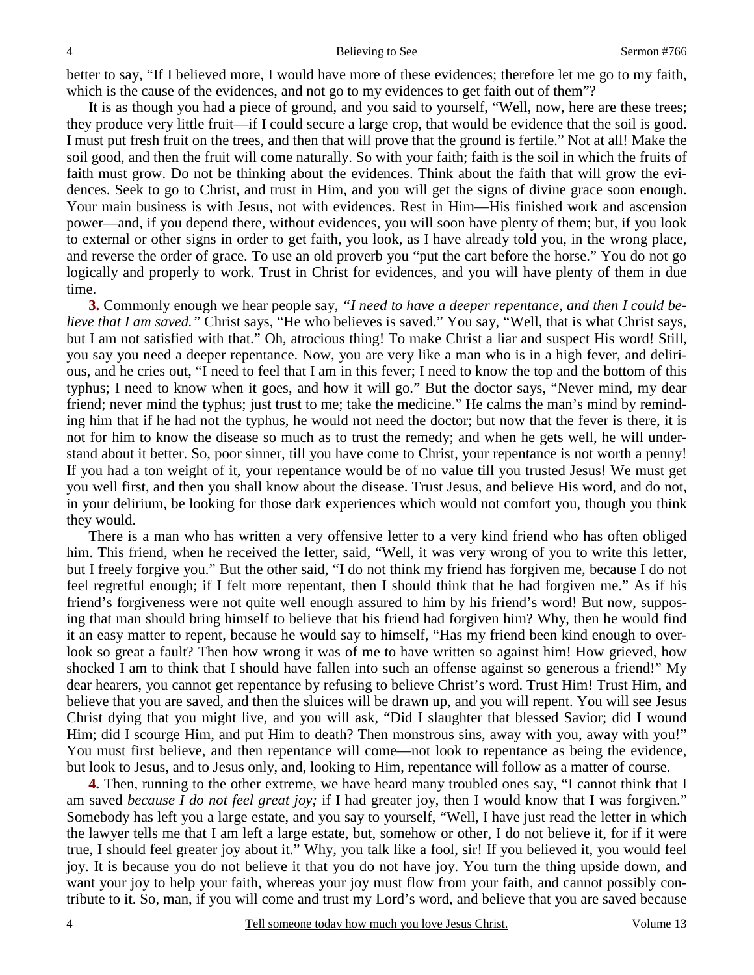better to say, "If I believed more, I would have more of these evidences; therefore let me go to my faith, which is the cause of the evidences, and not go to my evidences to get faith out of them"?

 It is as though you had a piece of ground, and you said to yourself, "Well, now, here are these trees; they produce very little fruit—if I could secure a large crop, that would be evidence that the soil is good. I must put fresh fruit on the trees, and then that will prove that the ground is fertile." Not at all! Make the soil good, and then the fruit will come naturally. So with your faith; faith is the soil in which the fruits of faith must grow. Do not be thinking about the evidences. Think about the faith that will grow the evidences. Seek to go to Christ, and trust in Him, and you will get the signs of divine grace soon enough. Your main business is with Jesus, not with evidences. Rest in Him—His finished work and ascension power—and, if you depend there, without evidences, you will soon have plenty of them; but, if you look to external or other signs in order to get faith, you look, as I have already told you, in the wrong place, and reverse the order of grace. To use an old proverb you "put the cart before the horse." You do not go logically and properly to work. Trust in Christ for evidences, and you will have plenty of them in due time.

**3.** Commonly enough we hear people say, *"I need to have a deeper repentance, and then I could believe that I am saved.*" Christ says, "He who believes is saved." You say, "Well, that is what Christ says, but I am not satisfied with that." Oh, atrocious thing! To make Christ a liar and suspect His word! Still, you say you need a deeper repentance. Now, you are very like a man who is in a high fever, and delirious, and he cries out, "I need to feel that I am in this fever; I need to know the top and the bottom of this typhus; I need to know when it goes, and how it will go." But the doctor says, "Never mind, my dear friend; never mind the typhus; just trust to me; take the medicine." He calms the man's mind by reminding him that if he had not the typhus, he would not need the doctor; but now that the fever is there, it is not for him to know the disease so much as to trust the remedy; and when he gets well, he will understand about it better. So, poor sinner, till you have come to Christ, your repentance is not worth a penny! If you had a ton weight of it, your repentance would be of no value till you trusted Jesus! We must get you well first, and then you shall know about the disease. Trust Jesus, and believe His word, and do not, in your delirium, be looking for those dark experiences which would not comfort you, though you think they would.

 There is a man who has written a very offensive letter to a very kind friend who has often obliged him. This friend, when he received the letter, said, "Well, it was very wrong of you to write this letter, but I freely forgive you." But the other said, "I do not think my friend has forgiven me, because I do not feel regretful enough; if I felt more repentant, then I should think that he had forgiven me." As if his friend's forgiveness were not quite well enough assured to him by his friend's word! But now, supposing that man should bring himself to believe that his friend had forgiven him? Why, then he would find it an easy matter to repent, because he would say to himself, "Has my friend been kind enough to overlook so great a fault? Then how wrong it was of me to have written so against him! How grieved, how shocked I am to think that I should have fallen into such an offense against so generous a friend!" My dear hearers, you cannot get repentance by refusing to believe Christ's word. Trust Him! Trust Him, and believe that you are saved, and then the sluices will be drawn up, and you will repent. You will see Jesus Christ dying that you might live, and you will ask, "Did I slaughter that blessed Savior; did I wound Him; did I scourge Him, and put Him to death? Then monstrous sins, away with you, away with you!" You must first believe, and then repentance will come—not look to repentance as being the evidence, but look to Jesus, and to Jesus only, and, looking to Him, repentance will follow as a matter of course.

**4.** Then, running to the other extreme, we have heard many troubled ones say, "I cannot think that I am saved *because I do not feel great joy;* if I had greater joy, then I would know that I was forgiven." Somebody has left you a large estate, and you say to yourself, "Well, I have just read the letter in which the lawyer tells me that I am left a large estate, but, somehow or other, I do not believe it, for if it were true, I should feel greater joy about it." Why, you talk like a fool, sir! If you believed it, you would feel joy. It is because you do not believe it that you do not have joy. You turn the thing upside down, and want your joy to help your faith, whereas your joy must flow from your faith, and cannot possibly contribute to it. So, man, if you will come and trust my Lord's word, and believe that you are saved because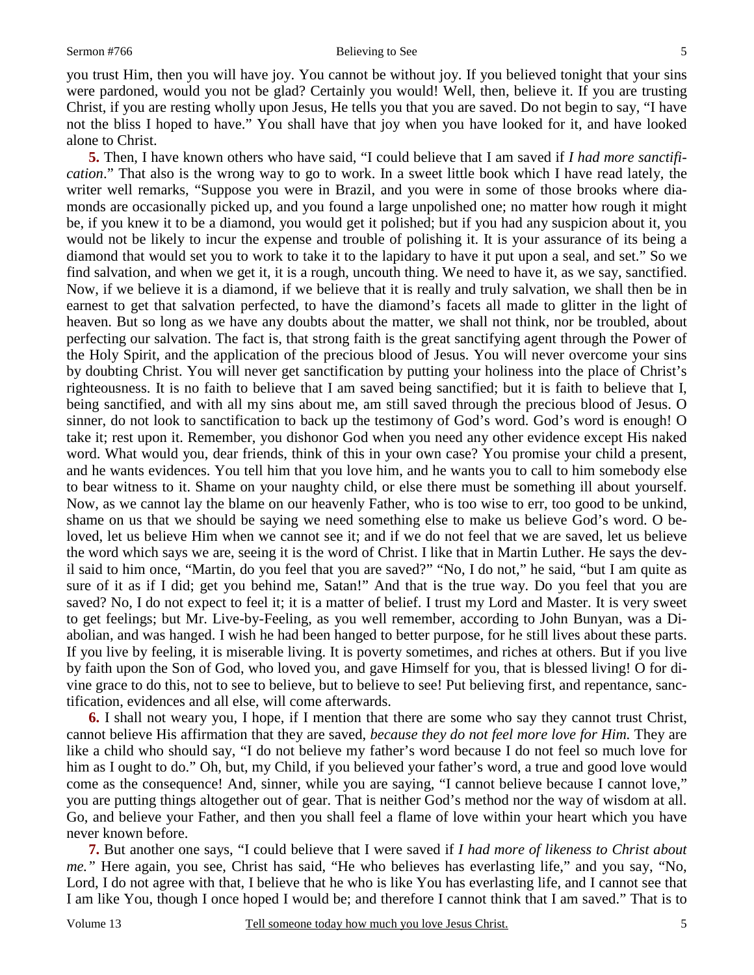you trust Him, then you will have joy. You cannot be without joy. If you believed tonight that your sins were pardoned, would you not be glad? Certainly you would! Well, then, believe it. If you are trusting Christ, if you are resting wholly upon Jesus, He tells you that you are saved. Do not begin to say, "I have not the bliss I hoped to have." You shall have that joy when you have looked for it, and have looked alone to Christ.

**5.** Then, I have known others who have said, "I could believe that I am saved if *I had more sanctification*." That also is the wrong way to go to work. In a sweet little book which I have read lately, the writer well remarks, "Suppose you were in Brazil, and you were in some of those brooks where diamonds are occasionally picked up, and you found a large unpolished one; no matter how rough it might be, if you knew it to be a diamond, you would get it polished; but if you had any suspicion about it, you would not be likely to incur the expense and trouble of polishing it. It is your assurance of its being a diamond that would set you to work to take it to the lapidary to have it put upon a seal, and set." So we find salvation, and when we get it, it is a rough, uncouth thing. We need to have it, as we say, sanctified. Now, if we believe it is a diamond, if we believe that it is really and truly salvation, we shall then be in earnest to get that salvation perfected, to have the diamond's facets all made to glitter in the light of heaven. But so long as we have any doubts about the matter, we shall not think, nor be troubled, about perfecting our salvation. The fact is, that strong faith is the great sanctifying agent through the Power of the Holy Spirit, and the application of the precious blood of Jesus. You will never overcome your sins by doubting Christ. You will never get sanctification by putting your holiness into the place of Christ's righteousness. It is no faith to believe that I am saved being sanctified; but it is faith to believe that I, being sanctified, and with all my sins about me, am still saved through the precious blood of Jesus. O sinner, do not look to sanctification to back up the testimony of God's word. God's word is enough! O take it; rest upon it. Remember, you dishonor God when you need any other evidence except His naked word. What would you, dear friends, think of this in your own case? You promise your child a present, and he wants evidences. You tell him that you love him, and he wants you to call to him somebody else to bear witness to it. Shame on your naughty child, or else there must be something ill about yourself. Now, as we cannot lay the blame on our heavenly Father, who is too wise to err, too good to be unkind, shame on us that we should be saying we need something else to make us believe God's word. O beloved, let us believe Him when we cannot see it; and if we do not feel that we are saved, let us believe the word which says we are, seeing it is the word of Christ. I like that in Martin Luther. He says the devil said to him once, "Martin, do you feel that you are saved?" "No, I do not," he said, "but I am quite as sure of it as if I did; get you behind me, Satan!" And that is the true way. Do you feel that you are saved? No, I do not expect to feel it; it is a matter of belief. I trust my Lord and Master. It is very sweet to get feelings; but Mr. Live-by-Feeling, as you well remember, according to John Bunyan, was a Diabolian, and was hanged. I wish he had been hanged to better purpose, for he still lives about these parts. If you live by feeling, it is miserable living. It is poverty sometimes, and riches at others. But if you live by faith upon the Son of God, who loved you, and gave Himself for you, that is blessed living! O for divine grace to do this, not to see to believe, but to believe to see! Put believing first, and repentance, sanctification, evidences and all else, will come afterwards.

**6.** I shall not weary you, I hope, if I mention that there are some who say they cannot trust Christ, cannot believe His affirmation that they are saved, *because they do not feel more love for Him.* They are like a child who should say, "I do not believe my father's word because I do not feel so much love for him as I ought to do." Oh, but, my Child, if you believed your father's word, a true and good love would come as the consequence! And, sinner, while you are saying, "I cannot believe because I cannot love," you are putting things altogether out of gear. That is neither God's method nor the way of wisdom at all. Go, and believe your Father, and then you shall feel a flame of love within your heart which you have never known before.

**7.** But another one says, "I could believe that I were saved if *I had more of likeness to Christ about me."* Here again, you see, Christ has said, "He who believes has everlasting life," and you say, "No, Lord, I do not agree with that, I believe that he who is like You has everlasting life, and I cannot see that I am like You, though I once hoped I would be; and therefore I cannot think that I am saved." That is to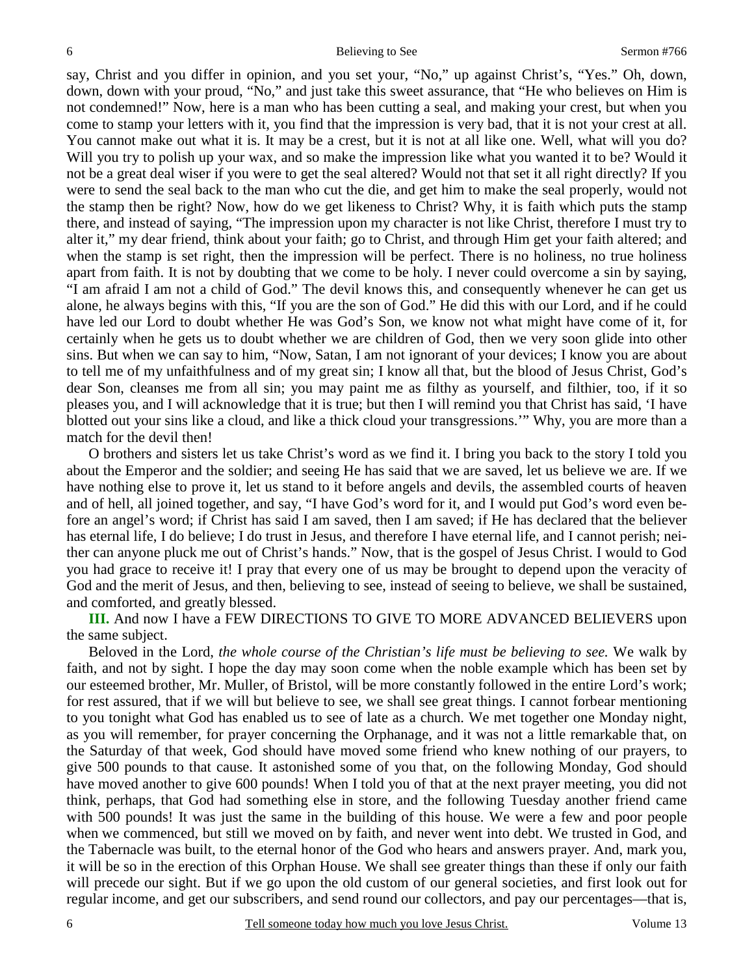say, Christ and you differ in opinion, and you set your, "No," up against Christ's, "Yes." Oh, down, down, down with your proud, "No," and just take this sweet assurance, that "He who believes on Him is not condemned!" Now, here is a man who has been cutting a seal, and making your crest, but when you come to stamp your letters with it, you find that the impression is very bad, that it is not your crest at all. You cannot make out what it is. It may be a crest, but it is not at all like one. Well, what will you do? Will you try to polish up your wax, and so make the impression like what you wanted it to be? Would it not be a great deal wiser if you were to get the seal altered? Would not that set it all right directly? If you were to send the seal back to the man who cut the die, and get him to make the seal properly, would not the stamp then be right? Now, how do we get likeness to Christ? Why, it is faith which puts the stamp there, and instead of saying, "The impression upon my character is not like Christ, therefore I must try to alter it," my dear friend, think about your faith; go to Christ, and through Him get your faith altered; and when the stamp is set right, then the impression will be perfect. There is no holiness, no true holiness apart from faith. It is not by doubting that we come to be holy. I never could overcome a sin by saying, "I am afraid I am not a child of God." The devil knows this, and consequently whenever he can get us alone, he always begins with this, "If you are the son of God." He did this with our Lord, and if he could have led our Lord to doubt whether He was God's Son, we know not what might have come of it, for certainly when he gets us to doubt whether we are children of God, then we very soon glide into other sins. But when we can say to him, "Now, Satan, I am not ignorant of your devices; I know you are about to tell me of my unfaithfulness and of my great sin; I know all that, but the blood of Jesus Christ, God's dear Son, cleanses me from all sin; you may paint me as filthy as yourself, and filthier, too, if it so pleases you, and I will acknowledge that it is true; but then I will remind you that Christ has said, 'I have blotted out your sins like a cloud, and like a thick cloud your transgressions.'" Why, you are more than a match for the devil then!

 O brothers and sisters let us take Christ's word as we find it. I bring you back to the story I told you about the Emperor and the soldier; and seeing He has said that we are saved, let us believe we are. If we have nothing else to prove it, let us stand to it before angels and devils, the assembled courts of heaven and of hell, all joined together, and say, "I have God's word for it, and I would put God's word even before an angel's word; if Christ has said I am saved, then I am saved; if He has declared that the believer has eternal life, I do believe; I do trust in Jesus, and therefore I have eternal life, and I cannot perish; neither can anyone pluck me out of Christ's hands." Now, that is the gospel of Jesus Christ. I would to God you had grace to receive it! I pray that every one of us may be brought to depend upon the veracity of God and the merit of Jesus, and then, believing to see, instead of seeing to believe, we shall be sustained, and comforted, and greatly blessed.

**III.** And now I have a FEW DIRECTIONS TO GIVE TO MORE ADVANCED BELIEVERS upon the same subject.

 Beloved in the Lord, *the whole course of the Christian's life must be believing to see.* We walk by faith, and not by sight. I hope the day may soon come when the noble example which has been set by our esteemed brother, Mr. Muller, of Bristol, will be more constantly followed in the entire Lord's work; for rest assured, that if we will but believe to see, we shall see great things. I cannot forbear mentioning to you tonight what God has enabled us to see of late as a church. We met together one Monday night, as you will remember, for prayer concerning the Orphanage, and it was not a little remarkable that, on the Saturday of that week, God should have moved some friend who knew nothing of our prayers, to give 500 pounds to that cause. It astonished some of you that, on the following Monday, God should have moved another to give 600 pounds! When I told you of that at the next prayer meeting, you did not think, perhaps, that God had something else in store, and the following Tuesday another friend came with 500 pounds! It was just the same in the building of this house. We were a few and poor people when we commenced, but still we moved on by faith, and never went into debt. We trusted in God, and the Tabernacle was built, to the eternal honor of the God who hears and answers prayer. And, mark you, it will be so in the erection of this Orphan House. We shall see greater things than these if only our faith will precede our sight. But if we go upon the old custom of our general societies, and first look out for regular income, and get our subscribers, and send round our collectors, and pay our percentages—that is,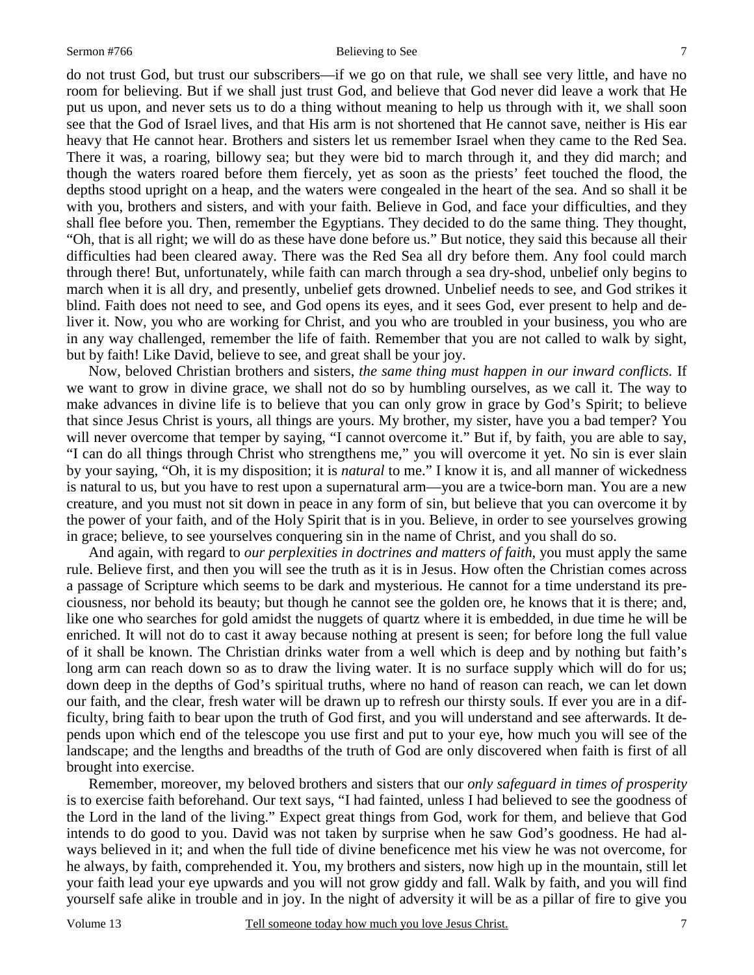7

do not trust God, but trust our subscribers—if we go on that rule, we shall see very little, and have no room for believing. But if we shall just trust God, and believe that God never did leave a work that He put us upon, and never sets us to do a thing without meaning to help us through with it, we shall soon see that the God of Israel lives, and that His arm is not shortened that He cannot save, neither is His ear heavy that He cannot hear. Brothers and sisters let us remember Israel when they came to the Red Sea. There it was, a roaring, billowy sea; but they were bid to march through it, and they did march; and though the waters roared before them fiercely, yet as soon as the priests' feet touched the flood, the depths stood upright on a heap, and the waters were congealed in the heart of the sea. And so shall it be with you, brothers and sisters, and with your faith. Believe in God, and face your difficulties, and they shall flee before you. Then, remember the Egyptians. They decided to do the same thing. They thought, "Oh, that is all right; we will do as these have done before us." But notice, they said this because all their difficulties had been cleared away. There was the Red Sea all dry before them. Any fool could march through there! But, unfortunately, while faith can march through a sea dry-shod, unbelief only begins to march when it is all dry, and presently, unbelief gets drowned. Unbelief needs to see, and God strikes it blind. Faith does not need to see, and God opens its eyes, and it sees God, ever present to help and deliver it. Now, you who are working for Christ, and you who are troubled in your business, you who are in any way challenged, remember the life of faith. Remember that you are not called to walk by sight, but by faith! Like David, believe to see, and great shall be your joy.

 Now, beloved Christian brothers and sisters, *the same thing must happen in our inward conflicts.* If we want to grow in divine grace, we shall not do so by humbling ourselves, as we call it. The way to make advances in divine life is to believe that you can only grow in grace by God's Spirit; to believe that since Jesus Christ is yours, all things are yours. My brother, my sister, have you a bad temper? You will never overcome that temper by saying, "I cannot overcome it." But if, by faith, you are able to say, "I can do all things through Christ who strengthens me," you will overcome it yet. No sin is ever slain by your saying, "Oh, it is my disposition; it is *natural* to me." I know it is, and all manner of wickedness is natural to us, but you have to rest upon a supernatural arm—you are a twice-born man. You are a new creature, and you must not sit down in peace in any form of sin, but believe that you can overcome it by the power of your faith, and of the Holy Spirit that is in you. Believe, in order to see yourselves growing in grace; believe, to see yourselves conquering sin in the name of Christ, and you shall do so.

 And again, with regard to *our perplexities in doctrines and matters of faith,* you must apply the same rule. Believe first, and then you will see the truth as it is in Jesus. How often the Christian comes across a passage of Scripture which seems to be dark and mysterious. He cannot for a time understand its preciousness, nor behold its beauty; but though he cannot see the golden ore, he knows that it is there; and, like one who searches for gold amidst the nuggets of quartz where it is embedded, in due time he will be enriched. It will not do to cast it away because nothing at present is seen; for before long the full value of it shall be known. The Christian drinks water from a well which is deep and by nothing but faith's long arm can reach down so as to draw the living water. It is no surface supply which will do for us; down deep in the depths of God's spiritual truths, where no hand of reason can reach, we can let down our faith, and the clear, fresh water will be drawn up to refresh our thirsty souls. If ever you are in a difficulty, bring faith to bear upon the truth of God first, and you will understand and see afterwards. It depends upon which end of the telescope you use first and put to your eye, how much you will see of the landscape; and the lengths and breadths of the truth of God are only discovered when faith is first of all brought into exercise.

 Remember, moreover, my beloved brothers and sisters that our *only safeguard in times of prosperity* is to exercise faith beforehand. Our text says, "I had fainted, unless I had believed to see the goodness of the Lord in the land of the living." Expect great things from God, work for them, and believe that God intends to do good to you. David was not taken by surprise when he saw God's goodness. He had always believed in it; and when the full tide of divine beneficence met his view he was not overcome, for he always, by faith, comprehended it. You, my brothers and sisters, now high up in the mountain, still let your faith lead your eye upwards and you will not grow giddy and fall. Walk by faith, and you will find yourself safe alike in trouble and in joy. In the night of adversity it will be as a pillar of fire to give you